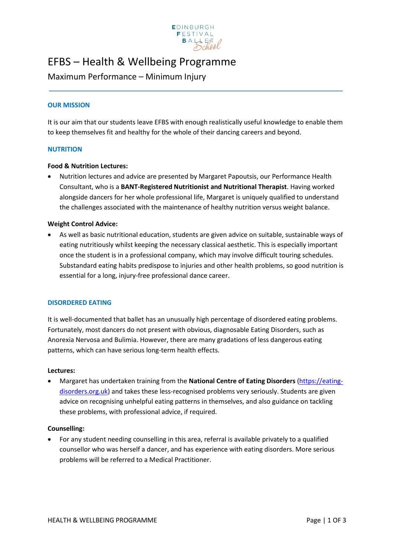

# EFBS – Health & Wellbeing Programme

# Maximum Performance – Minimum Injury

# **OUR MISSION**

It is our aim that our students leave EFBS with enough realistically useful knowledge to enable them to keep themselves fit and healthy for the whole of their dancing careers and beyond.

#### **NUTRITION**

#### **Food & Nutrition Lectures:**

• Nutrition lectures and advice are presented by Margaret Papoutsis, our Performance Health Consultant, who is a **BANT-Registered Nutritionist and Nutritional Therapist**. Having worked alongside dancers for her whole professional life, Margaret is uniquely qualified to understand the challenges associated with the maintenance of healthy nutrition versus weight balance.

#### **Weight Control Advice:**

• As well as basic nutritional education, students are given advice on suitable, sustainable ways of eating nutritiously whilst keeping the necessary classical aesthetic. This is especially important once the student is in a professional company, which may involve difficult touring schedules. Substandard eating habits predispose to injuries and other health problems, so good nutrition is essential for a long, injury-free professional dance career.

# **DISORDERED EATING**

It is well-documented that ballet has an unusually high percentage of disordered eating problems. Fortunately, most dancers do not present with obvious, diagnosable Eating Disorders, such as Anorexia Nervosa and Bulimia. However, there are many gradations of less dangerous eating patterns, which can have serious long-term health effects.

#### **Lectures:**

• Margaret has undertaken training from the **National Centre of Eating Disorders** [\(https://eating](https://eating-disorders.org.uk/)[disorders.org.uk\)](https://eating-disorders.org.uk/) and takes these less-recognised problems very seriously. Students are given advice on recognising unhelpful eating patterns in themselves, and also guidance on tackling these problems, with professional advice, if required.

#### **Counselling:**

• For any student needing counselling in this area, referral is available privately to a qualified counsellor who was herself a dancer, and has experience with eating disorders. More serious problems will be referred to a Medical Practitioner.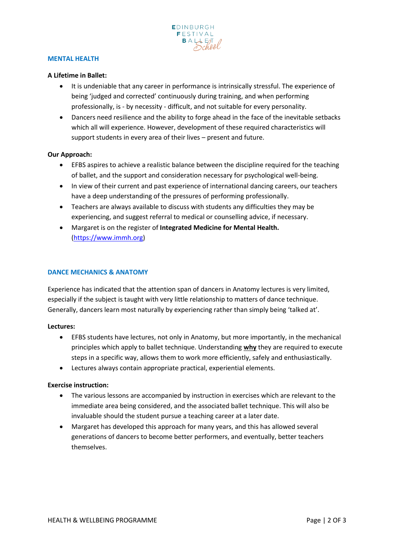

#### **MENTAL HEALTH**

#### **A Lifetime in Ballet:**

- It is undeniable that any career in performance is intrinsically stressful. The experience of being 'judged and corrected' continuously during training, and when performing professionally, is - by necessity - difficult, and not suitable for every personality.
- Dancers need resilience and the ability to forge ahead in the face of the inevitable setbacks which all will experience. However, development of these required characteristics will support students in every area of their lives – present and future.

#### **Our Approach:**

- EFBS aspires to achieve a realistic balance between the discipline required for the teaching of ballet, and the support and consideration necessary for psychological well-being.
- In view of their current and past experience of international dancing careers, our teachers have a deep understanding of the pressures of performing professionally.
- Teachers are always available to discuss with students any difficulties they may be experiencing, and suggest referral to medical or counselling advice, if necessary.
- Margaret is on the register of **Integrated Medicine for Mental Health.** [\(https://www.immh.org\)](https://www.immh.org/)

#### **DANCE MECHANICS & ANATOMY**

Experience has indicated that the attention span of dancers in Anatomy lectures is very limited, especially if the subject is taught with very little relationship to matters of dance technique. Generally, dancers learn most naturally by experiencing rather than simply being 'talked at'.

#### **Lectures:**

- EFBS students have lectures, not only in Anatomy, but more importantly, in the mechanical principles which apply to ballet technique. Understanding **why** they are required to execute steps in a specific way, allows them to work more efficiently, safely and enthusiastically.
- Lectures always contain appropriate practical, experiential elements.

# **Exercise instruction:**

- The various lessons are accompanied by instruction in exercises which are relevant to the immediate area being considered, and the associated ballet technique. This will also be invaluable should the student pursue a teaching career at a later date.
- Margaret has developed this approach for many years, and this has allowed several generations of dancers to become better performers, and eventually, better teachers themselves.